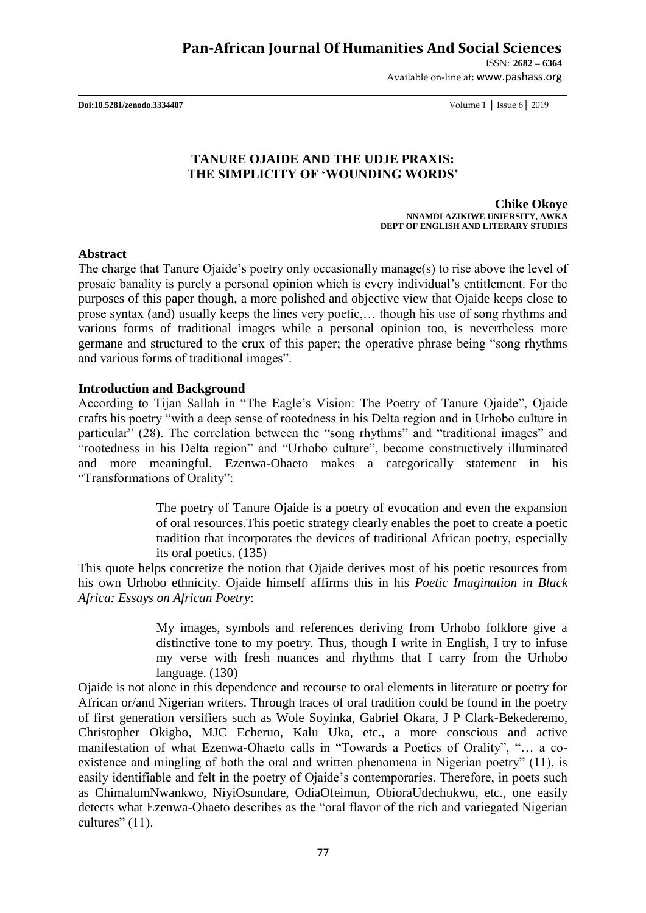ISSN: **2682 – 6364**

Available on-line at**:** www.pashass.org

**Doi:10.5281/zenodo.3334407** Volume 1 │ Issue 6│ 2019

### **TANURE OJAIDE AND THE UDJE PRAXIS: THE SIMPLICITY OF 'WOUNDING WORDS'**

**Chike Okoye NNAMDI AZIKIWE UNIERSITY, AWKA DEPT OF ENGLISH AND LITERARY STUDIES**

#### **Abstract**

The charge that Tanure Ojaide's poetry only occasionally manage(s) to rise above the level of prosaic banality is purely a personal opinion which is every individual"s entitlement. For the purposes of this paper though, a more polished and objective view that Ojaide keeps close to prose syntax (and) usually keeps the lines very poetic,… though his use of song rhythms and various forms of traditional images while a personal opinion too, is nevertheless more germane and structured to the crux of this paper; the operative phrase being "song rhythms and various forms of traditional images".

#### **Introduction and Background**

According to Tijan Sallah in "The Eagle"s Vision: The Poetry of Tanure Ojaide", Ojaide crafts his poetry "with a deep sense of rootedness in his Delta region and in Urhobo culture in particular" (28). The correlation between the "song rhythms" and "traditional images" and "rootedness in his Delta region" and "Urhobo culture", become constructively illuminated and more meaningful. Ezenwa-Ohaeto makes a categorically statement in his "Transformations of Orality":

> The poetry of Tanure Ojaide is a poetry of evocation and even the expansion of oral resources.This poetic strategy clearly enables the poet to create a poetic tradition that incorporates the devices of traditional African poetry, especially its oral poetics. (135)

This quote helps concretize the notion that Ojaide derives most of his poetic resources from his own Urhobo ethnicity. Ojaide himself affirms this in his *Poetic Imagination in Black Africa: Essays on African Poetry*:

> My images, symbols and references deriving from Urhobo folklore give a distinctive tone to my poetry. Thus, though I write in English, I try to infuse my verse with fresh nuances and rhythms that I carry from the Urhobo language. (130)

Ojaide is not alone in this dependence and recourse to oral elements in literature or poetry for African or/and Nigerian writers. Through traces of oral tradition could be found in the poetry of first generation versifiers such as Wole Soyinka, Gabriel Okara, J P Clark-Bekederemo, Christopher Okigbo, MJC Echeruo, Kalu Uka, etc., a more conscious and active manifestation of what Ezenwa-Ohaeto calls in "Towards a Poetics of Orality", "… a coexistence and mingling of both the oral and written phenomena in Nigerian poetry" (11), is easily identifiable and felt in the poetry of Ojaide's contemporaries. Therefore, in poets such as ChimalumNwankwo, NiyiOsundare, OdiaOfeimun, ObioraUdechukwu, etc., one easily detects what Ezenwa-Ohaeto describes as the "oral flavor of the rich and variegated Nigerian cultures" (11).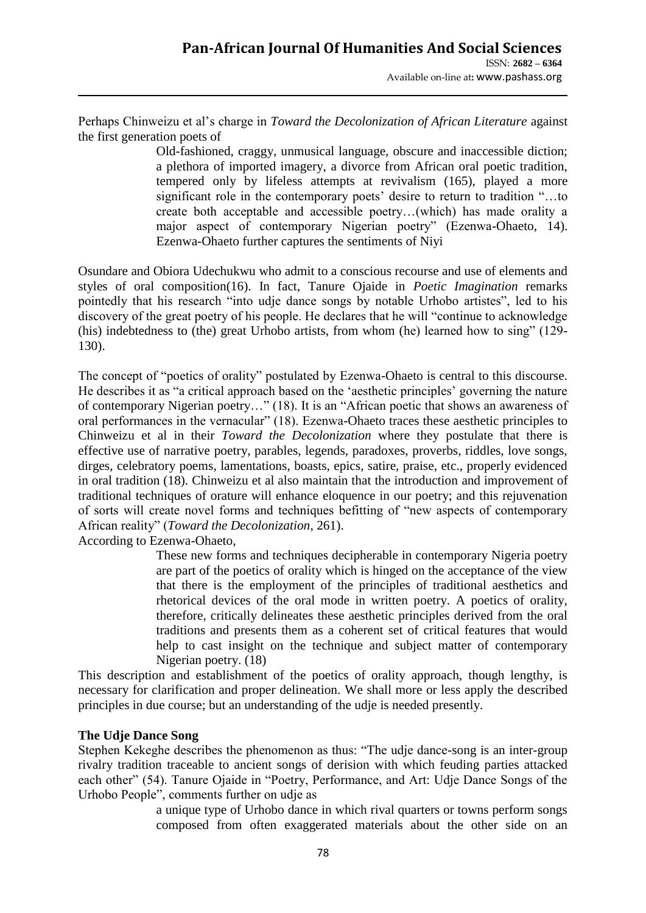Perhaps Chinweizu et al"s charge in *Toward the Decolonization of African Literature* against the first generation poets of

Old-fashioned, craggy, unmusical language, obscure and inaccessible diction; a plethora of imported imagery, a divorce from African oral poetic tradition, tempered only by lifeless attempts at revivalism (165), played a more significant role in the contemporary poets' desire to return to tradition "...to create both acceptable and accessible poetry…(which) has made orality a major aspect of contemporary Nigerian poetry" (Ezenwa-Ohaeto, 14). Ezenwa-Ohaeto further captures the sentiments of Niyi

Osundare and Obiora Udechukwu who admit to a conscious recourse and use of elements and styles of oral composition(16). In fact, Tanure Ojaide in *Poetic Imagination* remarks pointedly that his research "into udje dance songs by notable Urhobo artistes", led to his discovery of the great poetry of his people. He declares that he will "continue to acknowledge (his) indebtedness to (the) great Urhobo artists, from whom (he) learned how to sing" (129- 130).

The concept of "poetics of orality" postulated by Ezenwa-Ohaeto is central to this discourse. He describes it as "a critical approach based on the 'aesthetic principles' governing the nature of contemporary Nigerian poetry…" (18). It is an "African poetic that shows an awareness of oral performances in the vernacular" (18). Ezenwa-Ohaeto traces these aesthetic principles to Chinweizu et al in their *Toward the Decolonization* where they postulate that there is effective use of narrative poetry, parables, legends, paradoxes, proverbs, riddles, love songs, dirges, celebratory poems, lamentations, boasts, epics, satire, praise, etc., properly evidenced in oral tradition (18). Chinweizu et al also maintain that the introduction and improvement of traditional techniques of orature will enhance eloquence in our poetry; and this rejuvenation of sorts will create novel forms and techniques befitting of "new aspects of contemporary African reality" (*Toward the Decolonization*, 261).

According to Ezenwa-Ohaeto,

These new forms and techniques decipherable in contemporary Nigeria poetry are part of the poetics of orality which is hinged on the acceptance of the view that there is the employment of the principles of traditional aesthetics and rhetorical devices of the oral mode in written poetry. A poetics of orality, therefore, critically delineates these aesthetic principles derived from the oral traditions and presents them as a coherent set of critical features that would help to cast insight on the technique and subject matter of contemporary Nigerian poetry. (18)

This description and establishment of the poetics of orality approach, though lengthy, is necessary for clarification and proper delineation. We shall more or less apply the described principles in due course; but an understanding of the udje is needed presently.

#### **The Udje Dance Song**

Stephen Kekeghe describes the phenomenon as thus: "The udje dance-song is an inter-group rivalry tradition traceable to ancient songs of derision with which feuding parties attacked each other" (54). Tanure Ojaide in "Poetry, Performance, and Art: Udje Dance Songs of the Urhobo People", comments further on udje as

> a unique type of Urhobo dance in which rival quarters or towns perform songs composed from often exaggerated materials about the other side on an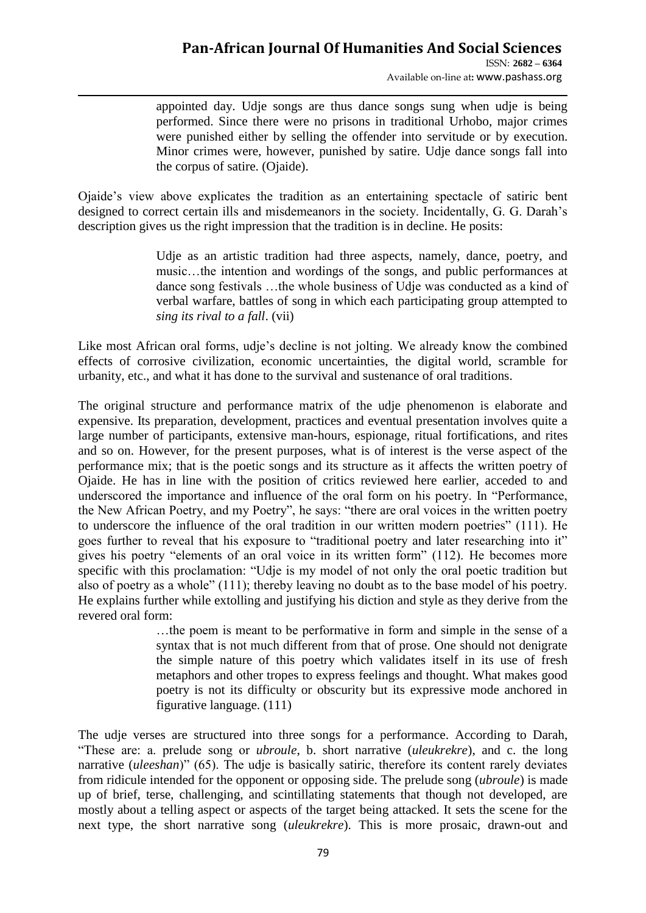### **Pan-African Journal Of Humanities And Social Sciences**  ISSN: **2682 – 6364**

Available on-line at**:** www.pashass.org

appointed day. Udje songs are thus dance songs sung when udje is being performed. Since there were no prisons in traditional Urhobo, major crimes were punished either by selling the offender into servitude or by execution. Minor crimes were, however, punished by satire. Udie dance songs fall into the corpus of satire. (Ojaide).

Ojaide"s view above explicates the tradition as an entertaining spectacle of satiric bent designed to correct certain ills and misdemeanors in the society. Incidentally, G. G. Darah"s description gives us the right impression that the tradition is in decline. He posits:

> Udje as an artistic tradition had three aspects, namely, dance, poetry, and music…the intention and wordings of the songs, and public performances at dance song festivals …the whole business of Udje was conducted as a kind of verbal warfare, battles of song in which each participating group attempted to *sing its rival to a fall*. (vii)

Like most African oral forms, udje"s decline is not jolting. We already know the combined effects of corrosive civilization, economic uncertainties, the digital world, scramble for urbanity, etc., and what it has done to the survival and sustenance of oral traditions.

The original structure and performance matrix of the udje phenomenon is elaborate and expensive. Its preparation, development, practices and eventual presentation involves quite a large number of participants, extensive man-hours, espionage, ritual fortifications, and rites and so on. However, for the present purposes, what is of interest is the verse aspect of the performance mix; that is the poetic songs and its structure as it affects the written poetry of Ojaide. He has in line with the position of critics reviewed here earlier, acceded to and underscored the importance and influence of the oral form on his poetry. In "Performance, the New African Poetry, and my Poetry", he says: "there are oral voices in the written poetry to underscore the influence of the oral tradition in our written modern poetries" (111). He goes further to reveal that his exposure to "traditional poetry and later researching into it" gives his poetry "elements of an oral voice in its written form" (112). He becomes more specific with this proclamation: "Udje is my model of not only the oral poetic tradition but also of poetry as a whole" (111); thereby leaving no doubt as to the base model of his poetry. He explains further while extolling and justifying his diction and style as they derive from the revered oral form:

> …the poem is meant to be performative in form and simple in the sense of a syntax that is not much different from that of prose. One should not denigrate the simple nature of this poetry which validates itself in its use of fresh metaphors and other tropes to express feelings and thought. What makes good poetry is not its difficulty or obscurity but its expressive mode anchored in figurative language. (111)

The udje verses are structured into three songs for a performance. According to Darah, "These are: a. prelude song or *ubroule*, b. short narrative (*uleukrekre*), and c. the long narrative (*uleeshan*)" (65). The udje is basically satiric, therefore its content rarely deviates from ridicule intended for the opponent or opposing side. The prelude song (*ubroule*) is made up of brief, terse, challenging, and scintillating statements that though not developed, are mostly about a telling aspect or aspects of the target being attacked. It sets the scene for the next type, the short narrative song (*uleukrekre*). This is more prosaic, drawn-out and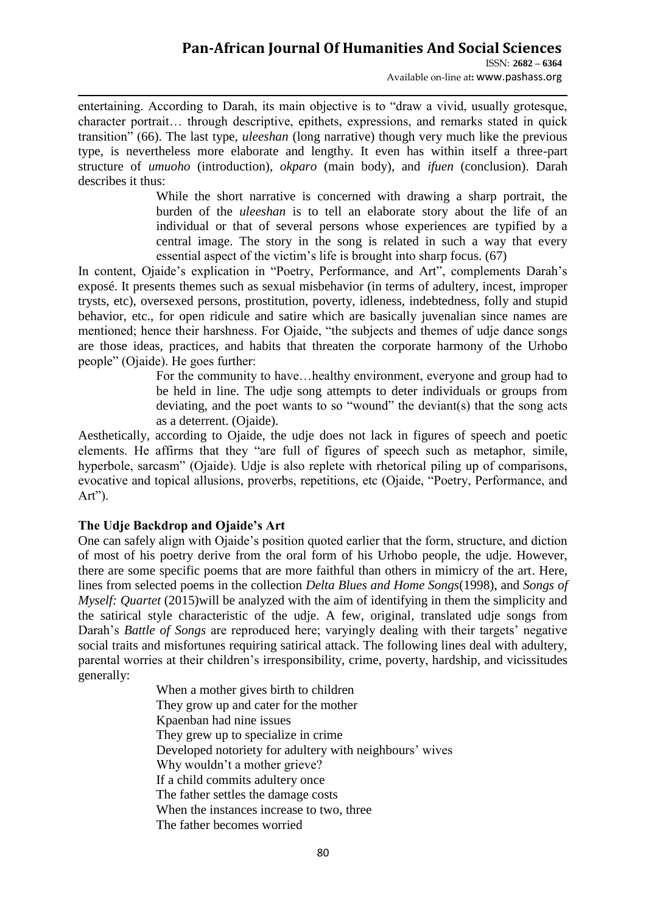ISSN: **2682 – 6364** Available on-line at**:** www.pashass.org

entertaining. According to Darah, its main objective is to "draw a vivid, usually grotesque, character portrait… through descriptive, epithets, expressions, and remarks stated in quick transition" (66). The last type, *uleeshan* (long narrative) though very much like the previous type, is nevertheless more elaborate and lengthy. It even has within itself a three-part structure of *umuoho* (introduction), *okparo* (main body), and *ifuen* (conclusion). Darah describes it thus:

> While the short narrative is concerned with drawing a sharp portrait, the burden of the *uleeshan* is to tell an elaborate story about the life of an individual or that of several persons whose experiences are typified by a central image. The story in the song is related in such a way that every essential aspect of the victim's life is brought into sharp focus. (67)

In content, Ojaide's explication in "Poetry, Performance, and Art", complements Darah's exposé. It presents themes such as sexual misbehavior (in terms of adultery, incest, improper trysts, etc), oversexed persons, prostitution, poverty, idleness, indebtedness, folly and stupid behavior, etc., for open ridicule and satire which are basically juvenalian since names are mentioned; hence their harshness. For Ojaide, "the subjects and themes of udje dance songs are those ideas, practices, and habits that threaten the corporate harmony of the Urhobo people" (Ojaide). He goes further:

> For the community to have…healthy environment, everyone and group had to be held in line. The udje song attempts to deter individuals or groups from deviating, and the poet wants to so "wound" the deviant(s) that the song acts as a deterrent. (Ojaide).

Aesthetically, according to Ojaide, the udje does not lack in figures of speech and poetic elements. He affirms that they "are full of figures of speech such as metaphor, simile, hyperbole, sarcasm" (Ojaide). Udje is also replete with rhetorical piling up of comparisons, evocative and topical allusions, proverbs, repetitions, etc (Ojaide, "Poetry, Performance, and  $Art$ ").

### **The Udje Backdrop and Ojaide's Art**

One can safely align with Ojaide"s position quoted earlier that the form, structure, and diction of most of his poetry derive from the oral form of his Urhobo people, the udje. However, there are some specific poems that are more faithful than others in mimicry of the art. Here, lines from selected poems in the collection *Delta Blues and Home Songs*(1998), and *Songs of Myself: Quartet* (2015)will be analyzed with the aim of identifying in them the simplicity and the satirical style characteristic of the udje. A few, original, translated udje songs from Darah's *Battle of Songs* are reproduced here; varyingly dealing with their targets' negative social traits and misfortunes requiring satirical attack. The following lines deal with adultery, parental worries at their children"s irresponsibility, crime, poverty, hardship, and vicissitudes generally:

> When a mother gives birth to children They grow up and cater for the mother Kpaenban had nine issues They grew up to specialize in crime Developed notoriety for adultery with neighbours' wives Why wouldn't a mother grieve? If a child commits adultery once The father settles the damage costs When the instances increase to two, three The father becomes worried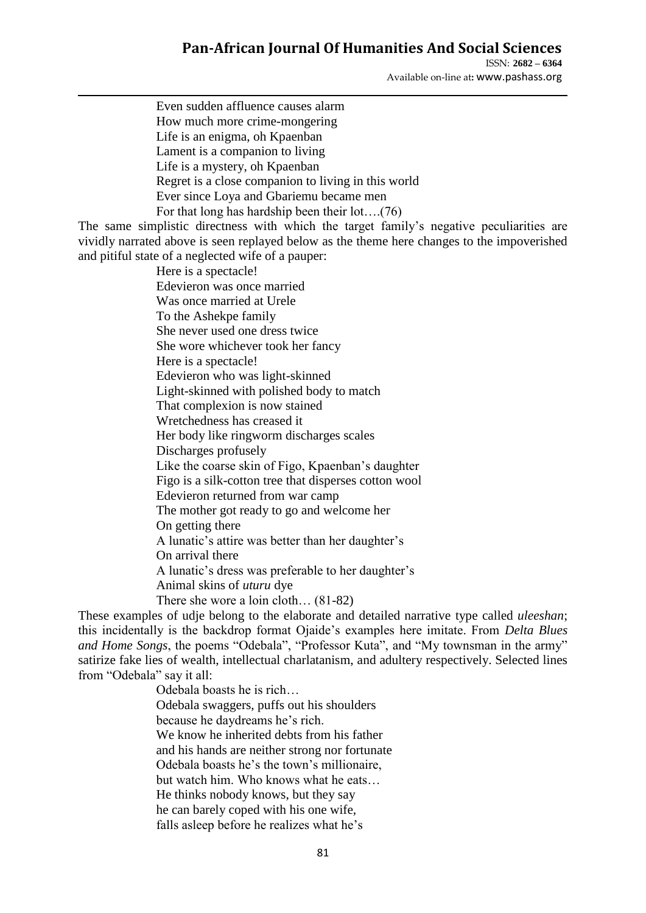ISSN: **2682 – 6364** Available on-line at**:** www.pashass.org

Even sudden affluence causes alarm How much more crime-mongering Life is an enigma, oh Kpaenban Lament is a companion to living Life is a mystery, oh Kpaenban Regret is a close companion to living in this world Ever since Loya and Gbariemu became men For that long has hardship been their lot….(76) The same simplistic directness with which the target family"s negative peculiarities are vividly narrated above is seen replayed below as the theme here changes to the impoverished and pitiful state of a neglected wife of a pauper: Here is a spectacle! Edevieron was once married Was once married at Urele To the Ashekpe family She never used one dress twice She wore whichever took her fancy Here is a spectacle! Edevieron who was light-skinned Light-skinned with polished body to match That complexion is now stained Wretchedness has creased it Her body like ringworm discharges scales Discharges profusely Like the coarse skin of Figo, Kpaenban"s daughter Figo is a silk-cotton tree that disperses cotton wool Edevieron returned from war camp The mother got ready to go and welcome her On getting there A lunatic's attire was better than her daughter's On arrival there A lunatic's dress was preferable to her daughter's Animal skins of *uturu* dye There she wore a loin cloth… (81-82) These examples of udje belong to the elaborate and detailed narrative type called *uleeshan*; this incidentally is the backdrop format Ojaide"s examples here imitate. From *Delta Blues and Home Songs*, the poems "Odebala", "Professor Kuta", and "My townsman in the army" satirize fake lies of wealth, intellectual charlatanism, and adultery respectively. Selected lines from "Odebala" say it all: Odebala boasts he is rich… Odebala swaggers, puffs out his shoulders

because he daydreams he"s rich. We know he inherited debts from his father and his hands are neither strong nor fortunate Odebala boasts he"s the town"s millionaire, but watch him. Who knows what he eats… He thinks nobody knows, but they say he can barely coped with his one wife, falls asleep before he realizes what he's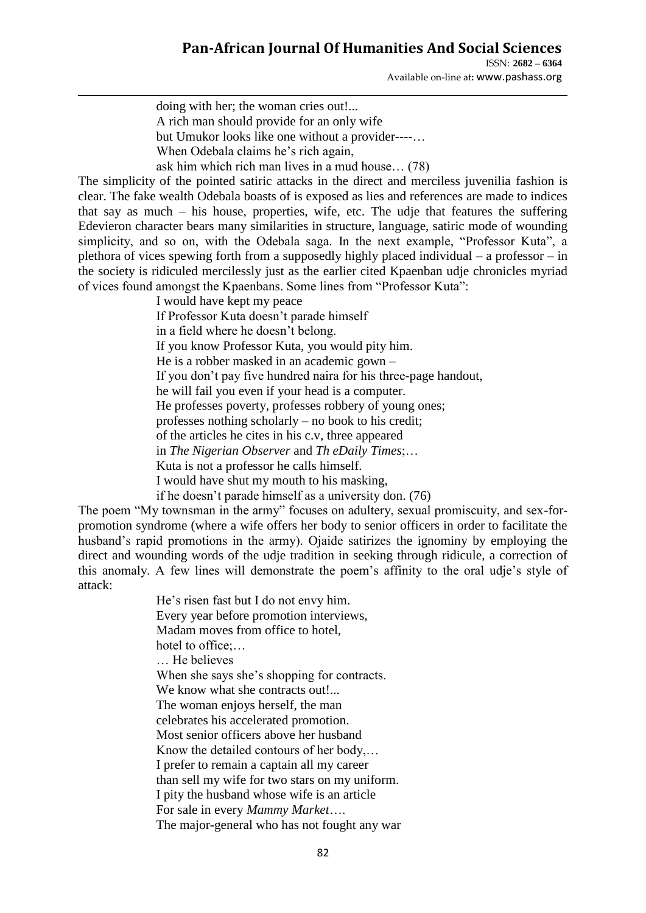ISSN: **2682 – 6364** Available on-line at**:** www.pashass.org

doing with her; the woman cries out!... A rich man should provide for an only wife but Umukor looks like one without a provider----… When Odebala claims he's rich again.

ask him which rich man lives in a mud house… (78)

The simplicity of the pointed satiric attacks in the direct and merciless juvenilia fashion is clear. The fake wealth Odebala boasts of is exposed as lies and references are made to indices that say as much – his house, properties, wife, etc. The udje that features the suffering Edevieron character bears many similarities in structure, language, satiric mode of wounding simplicity, and so on, with the Odebala saga. In the next example, "Professor Kuta", a plethora of vices spewing forth from a supposedly highly placed individual – a professor – in the society is ridiculed mercilessly just as the earlier cited Kpaenban udje chronicles myriad of vices found amongst the Kpaenbans. Some lines from "Professor Kuta":

> I would have kept my peace If Professor Kuta doesn"t parade himself in a field where he doesn"t belong. If you know Professor Kuta, you would pity him. He is a robber masked in an academic gown – If you don"t pay five hundred naira for his three-page handout, he will fail you even if your head is a computer. He professes poverty, professes robbery of young ones; professes nothing scholarly – no book to his credit; of the articles he cites in his c.v, three appeared in *The Nigerian Observer* and *Th eDaily Times*;… Kuta is not a professor he calls himself. I would have shut my mouth to his masking, if he doesn"t parade himself as a university don. (76)

The poem "My townsman in the army" focuses on adultery, sexual promiscuity, and sex-forpromotion syndrome (where a wife offers her body to senior officers in order to facilitate the husband's rapid promotions in the army). Ojaide satirizes the ignominy by employing the direct and wounding words of the udje tradition in seeking through ridicule, a correction of this anomaly. A few lines will demonstrate the poem"s affinity to the oral udje"s style of attack:

> He"s risen fast but I do not envy him. Every year before promotion interviews, Madam moves from office to hotel, hotel to office:... … He believes When she says she's shopping for contracts. We know what she contracts out!... The woman enjoys herself, the man celebrates his accelerated promotion. Most senior officers above her husband Know the detailed contours of her body,… I prefer to remain a captain all my career than sell my wife for two stars on my uniform. I pity the husband whose wife is an article For sale in every *Mammy Market*…. The major-general who has not fought any war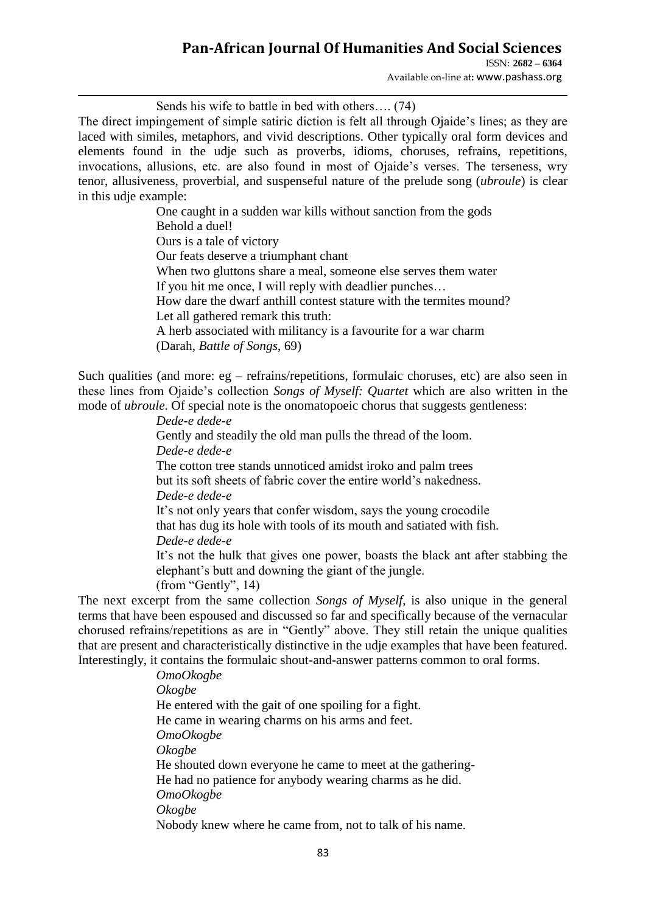ISSN: **2682 – 6364** Available on-line at**:** www.pashass.org

Sends his wife to battle in bed with others…. (74)

The direct impingement of simple satiric diction is felt all through Ojaide"s lines; as they are laced with similes, metaphors, and vivid descriptions. Other typically oral form devices and elements found in the udje such as proverbs, idioms, choruses, refrains, repetitions, invocations, allusions, etc. are also found in most of Ojaide"s verses. The terseness, wry tenor, allusiveness, proverbial, and suspenseful nature of the prelude song (*ubroule*) is clear in this udje example:

> One caught in a sudden war kills without sanction from the gods Behold a duel! Ours is a tale of victory Our feats deserve a triumphant chant When two gluttons share a meal, someone else serves them water If you hit me once, I will reply with deadlier punches… How dare the dwarf anthill contest stature with the termites mound? Let all gathered remark this truth: A herb associated with militancy is a favourite for a war charm (Darah, *Battle of Songs*, 69)

Such qualities (and more: eg – refrains/repetitions, formulaic choruses, etc) are also seen in these lines from Ojaide"s collection *Songs of Myself: Quartet* which are also written in the mode of *ubroule*. Of special note is the onomatopoeic chorus that suggests gentleness:

> *Dede-e dede-e* Gently and steadily the old man pulls the thread of the loom. *Dede-e dede-e* The cotton tree stands unnoticed amidst iroko and palm trees but its soft sheets of fabric cover the entire world"s nakedness. *Dede-e dede-e* It's not only years that confer wisdom, says the young crocodile that has dug its hole with tools of its mouth and satiated with fish. *Dede-e dede-e* It"s not the hulk that gives one power, boasts the black ant after stabbing the elephant"s butt and downing the giant of the jungle. (from "Gently", 14)

The next excerpt from the same collection *Songs of Myself*, is also unique in the general terms that have been espoused and discussed so far and specifically because of the vernacular chorused refrains/repetitions as are in "Gently" above. They still retain the unique qualities that are present and characteristically distinctive in the udje examples that have been featured. Interestingly, it contains the formulaic shout-and-answer patterns common to oral forms.

> *OmoOkogbe Okogbe* He entered with the gait of one spoiling for a fight. He came in wearing charms on his arms and feet. *OmoOkogbe Okogbe* He shouted down everyone he came to meet at the gathering-He had no patience for anybody wearing charms as he did. *OmoOkogbe Okogbe* Nobody knew where he came from, not to talk of his name.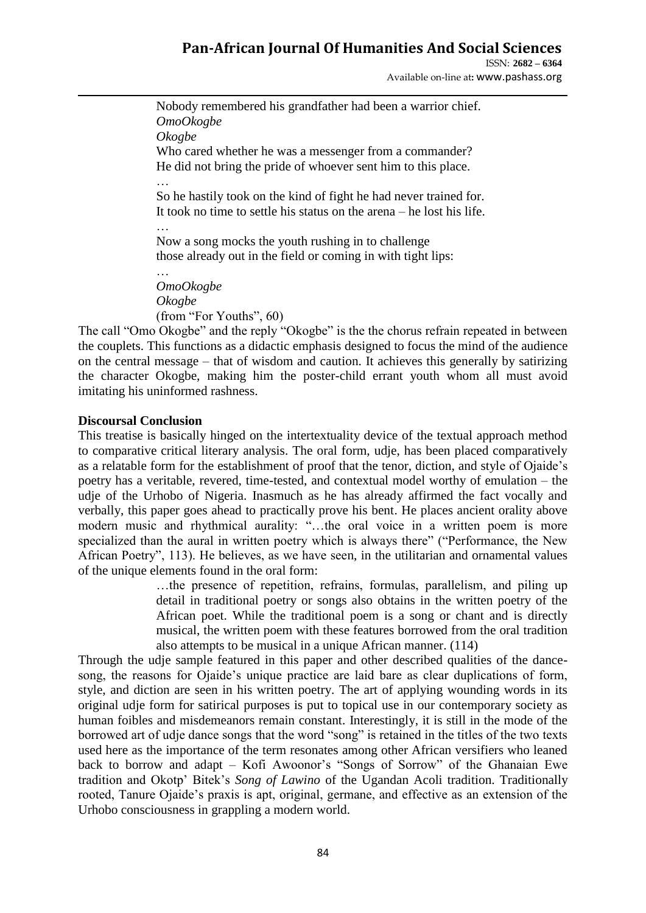ISSN: **2682 – 6364** Available on-line at**:** www.pashass.org

Nobody remembered his grandfather had been a warrior chief. *OmoOkogbe Okogbe* Who cared whether he was a messenger from a commander? He did not bring the pride of whoever sent him to this place. … So he hastily took on the kind of fight he had never trained for. It took no time to settle his status on the arena – he lost his life. …

Now a song mocks the youth rushing in to challenge those already out in the field or coming in with tight lips:

…<br>…… *OmoOkogbe Okogbe* (from "For Youths", 60)

The call "Omo Okogbe" and the reply "Okogbe" is the the chorus refrain repeated in between the couplets. This functions as a didactic emphasis designed to focus the mind of the audience on the central message – that of wisdom and caution. It achieves this generally by satirizing the character Okogbe, making him the poster-child errant youth whom all must avoid imitating his uninformed rashness.

### **Discoursal Conclusion**

This treatise is basically hinged on the intertextuality device of the textual approach method to comparative critical literary analysis. The oral form, udje, has been placed comparatively as a relatable form for the establishment of proof that the tenor, diction, and style of Ojaide"s poetry has a veritable, revered, time-tested, and contextual model worthy of emulation – the udje of the Urhobo of Nigeria. Inasmuch as he has already affirmed the fact vocally and verbally, this paper goes ahead to practically prove his bent. He places ancient orality above modern music and rhythmical aurality: "…the oral voice in a written poem is more specialized than the aural in written poetry which is always there" ("Performance, the New African Poetry", 113). He believes, as we have seen, in the utilitarian and ornamental values of the unique elements found in the oral form:

…the presence of repetition, refrains, formulas, parallelism, and piling up detail in traditional poetry or songs also obtains in the written poetry of the African poet. While the traditional poem is a song or chant and is directly musical, the written poem with these features borrowed from the oral tradition also attempts to be musical in a unique African manner. (114)

Through the udje sample featured in this paper and other described qualities of the dancesong, the reasons for Ojaide"s unique practice are laid bare as clear duplications of form, style, and diction are seen in his written poetry. The art of applying wounding words in its original udje form for satirical purposes is put to topical use in our contemporary society as human foibles and misdemeanors remain constant. Interestingly, it is still in the mode of the borrowed art of udje dance songs that the word "song" is retained in the titles of the two texts used here as the importance of the term resonates among other African versifiers who leaned back to borrow and adapt – Kofi Awoonor"s "Songs of Sorrow" of the Ghanaian Ewe tradition and Okotp" Bitek"s *Song of Lawino* of the Ugandan Acoli tradition. Traditionally rooted, Tanure Ojaide"s praxis is apt, original, germane, and effective as an extension of the Urhobo consciousness in grappling a modern world.